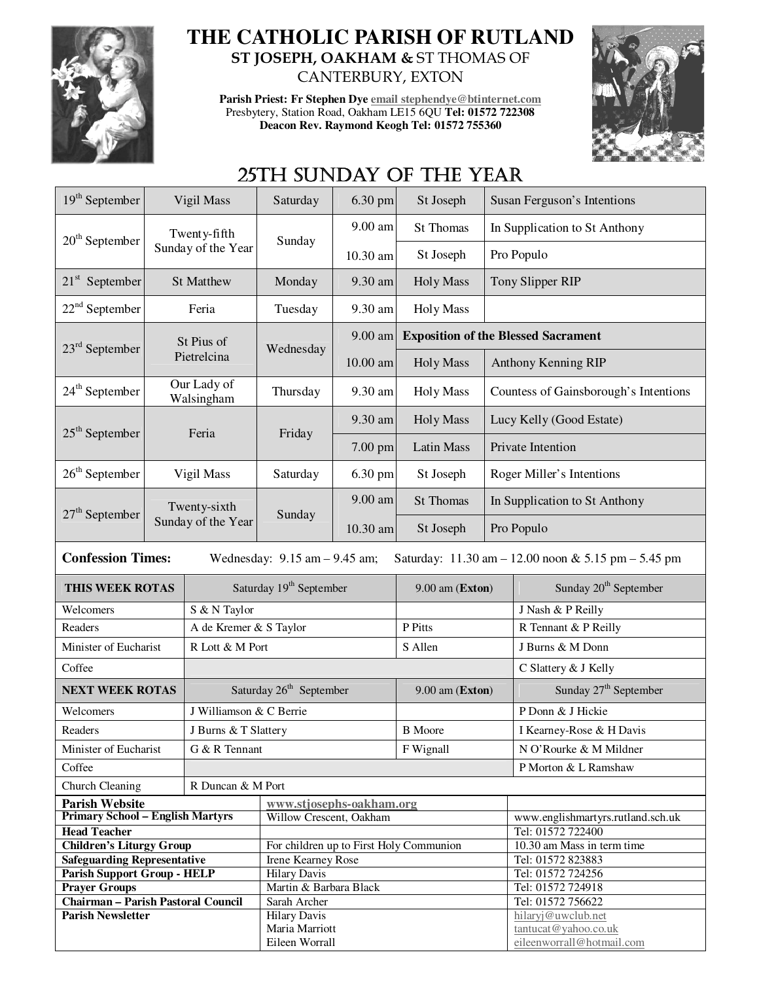

## **THE CATHOLIC PARISH OF RUTLAND ST JOSEPH, OAKHAM &** ST THOMAS OF CANTERBURY, EXTON

**Parish Priest: Fr Stephen Dye email stephendye@btinternet.com** Presbytery, Station Road, Oakham LE15 6QU **Tel: 01572 722308 Deacon Rev. Raymond Keogh Tel: 01572 755360** 



## 25TH SUNDAY OF THE YEAR

| $19th$ September                                                                                                     | Vigil Mass                         |                                     | Saturday                                            | 6.30 pm          | St Joseph         |                                            | Susan Ferguson's Intentions                |  |
|----------------------------------------------------------------------------------------------------------------------|------------------------------------|-------------------------------------|-----------------------------------------------------|------------------|-------------------|--------------------------------------------|--------------------------------------------|--|
|                                                                                                                      | Twenty-fifth                       |                                     | Sunday                                              | 9.00 am          | <b>St Thomas</b>  |                                            | In Supplication to St Anthony              |  |
| $20th$ September                                                                                                     |                                    | Sunday of the Year                  |                                                     | 10.30 am         | St Joseph         | Pro Populo                                 |                                            |  |
| $21st$ September<br><b>St Matthew</b>                                                                                |                                    | Monday                              | 9.30 am                                             | <b>Holy Mass</b> | Tony Slipper RIP  |                                            |                                            |  |
| $22nd$ September<br>Feria                                                                                            |                                    | Tuesday                             | 9.30 am                                             | <b>Holy Mass</b> |                   |                                            |                                            |  |
| $23rd$ September                                                                                                     | St Pius of                         |                                     | Wednesday                                           | 9.00 am          |                   | <b>Exposition of the Blessed Sacrament</b> |                                            |  |
|                                                                                                                      |                                    | Pietrelcina                         |                                                     | 10.00 am         | <b>Holy Mass</b>  | Anthony Kenning RIP                        |                                            |  |
| 24 <sup>th</sup> September                                                                                           | Our Lady of<br>Walsingham          |                                     | Thursday                                            | 9.30 am          | <b>Holy Mass</b>  | Countess of Gainsborough's Intentions      |                                            |  |
| $25th$ September                                                                                                     |                                    | Feria                               | Friday                                              | 9.30 am          | <b>Holy Mass</b>  | Lucy Kelly (Good Estate)                   |                                            |  |
|                                                                                                                      |                                    |                                     |                                                     | 7.00 pm          | <b>Latin Mass</b> | Private Intention                          |                                            |  |
| $26th$ September                                                                                                     |                                    | Vigil Mass                          | Saturday                                            | 6.30 pm          | St Joseph         | Roger Miller's Intentions                  |                                            |  |
| $27th$ September                                                                                                     | Twenty-sixth<br>Sunday of the Year |                                     | Sunday                                              | 9.00 am          | <b>St Thomas</b>  | In Supplication to St Anthony              |                                            |  |
|                                                                                                                      |                                    |                                     |                                                     | 10.30 am         | St Joseph         | Pro Populo                                 |                                            |  |
| <b>Confession Times:</b><br>Saturday: 11.30 am - 12.00 noon & 5.15 pm - 5.45 pm<br>Wednesday: $9.15$ am $- 9.45$ am; |                                    |                                     |                                                     |                  |                   |                                            |                                            |  |
| THIS WEEK ROTAS                                                                                                      |                                    | Saturday 19 <sup>th</sup> September |                                                     |                  | 9.00 am (Exton)   |                                            |                                            |  |
|                                                                                                                      |                                    |                                     |                                                     |                  |                   |                                            | Sunday 20 <sup>th</sup> September          |  |
| Welcomers                                                                                                            |                                    | S & N Taylor                        |                                                     |                  |                   |                                            | J Nash & P Reilly                          |  |
| Readers                                                                                                              |                                    | A de Kremer & S Taylor              |                                                     |                  | P Pitts           |                                            | R Tennant & P Reilly                       |  |
| Minister of Eucharist                                                                                                |                                    | R Lott & M Port                     |                                                     |                  | S Allen           |                                            | J Burns & M Donn                           |  |
| Coffee                                                                                                               |                                    |                                     |                                                     |                  |                   |                                            | C Slattery & J Kelly                       |  |
| <b>NEXT WEEK ROTAS</b>                                                                                               |                                    |                                     | Saturday 26 <sup>th</sup> September                 |                  | 9.00 am (Exton)   |                                            | Sunday 27 <sup>th</sup> September          |  |
| Welcomers                                                                                                            |                                    | J Williamson & C Berrie             |                                                     |                  |                   |                                            | P Donn & J Hickie                          |  |
| Readers                                                                                                              |                                    | J Burns & T Slattery                |                                                     |                  | <b>B</b> Moore    |                                            | I Kearney-Rose & H Davis                   |  |
| Minister of Eucharist                                                                                                |                                    | G & R Tennant                       |                                                     |                  | F Wignall         |                                            | N O'Rourke & M Mildner                     |  |
| Coffee                                                                                                               |                                    |                                     |                                                     |                  |                   |                                            | P Morton & L Ramshaw                       |  |
|                                                                                                                      |                                    | R Duncan & M Port                   |                                                     |                  |                   |                                            |                                            |  |
| Church Cleaning                                                                                                      |                                    |                                     |                                                     |                  |                   |                                            |                                            |  |
| <b>Parish Website</b><br><b>Primary School - English Martyrs</b>                                                     |                                    |                                     | www.stjosephs-oakham.org<br>Willow Crescent, Oakham |                  |                   |                                            | www.englishmartyrs.rutland.sch.uk          |  |
| <b>Head Teacher</b>                                                                                                  |                                    |                                     |                                                     |                  |                   |                                            | Tel: 01572 722400                          |  |
| <b>Children's Liturgy Group</b>                                                                                      |                                    |                                     | For children up to First Holy Communion             |                  |                   |                                            | 10.30 am Mass in term time                 |  |
| <b>Safeguarding Representative</b>                                                                                   |                                    |                                     | Irene Kearney Rose                                  |                  |                   |                                            | Tel: 01572 823883                          |  |
| <b>Parish Support Group - HELP</b>                                                                                   |                                    |                                     | <b>Hilary Davis</b>                                 |                  |                   |                                            | Tel: 01572 724256                          |  |
| <b>Prayer Groups</b>                                                                                                 |                                    |                                     | Martin & Barbara Black                              |                  |                   |                                            | Tel: 01572 724918                          |  |
| Chairman - Parish Pastoral Council                                                                                   |                                    |                                     | Sarah Archer                                        |                  |                   |                                            | Tel: 01572 756622                          |  |
| <b>Parish Newsletter</b>                                                                                             |                                    |                                     | <b>Hilary Davis</b><br>Maria Marriott               |                  |                   |                                            | hilaryj@uwclub.net<br>tantucat@yahoo.co.uk |  |